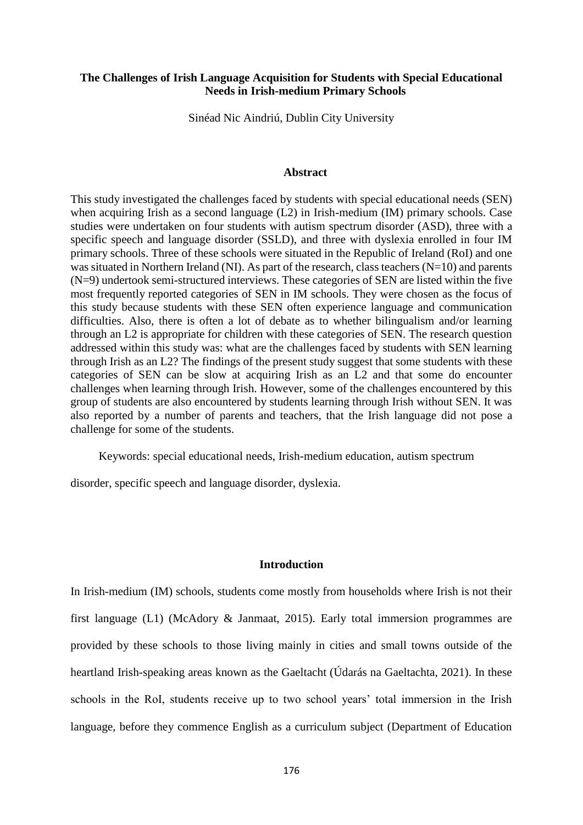# **The Challenges of Irish Language Acquisition for Students with Special Educational Needs in Irish-medium Primary Schools**

Sinéad Nic Aindriú, Dublin City University

### **Abstract**

This study investigated the challenges faced by students with special educational needs (SEN) when acquiring Irish as a second language (L2) in Irish-medium (IM) primary schools. Case studies were undertaken on four students with autism spectrum disorder (ASD), three with a specific speech and language disorder (SSLD), and three with dyslexia enrolled in four IM primary schools. Three of these schools were situated in the Republic of Ireland (RoI) and one was situated in Northern Ireland (NI). As part of the research, class teachers (N=10) and parents (N=9) undertook semi-structured interviews. These categories of SEN are listed within the five most frequently reported categories of SEN in IM schools. They were chosen as the focus of this study because students with these SEN often experience language and communication difficulties. Also, there is often a lot of debate as to whether bilingualism and/or learning through an L2 is appropriate for children with these categories of SEN. The research question addressed within this study was: what are the challenges faced by students with SEN learning through Irish as an L2? The findings of the present study suggest that some students with these categories of SEN can be slow at acquiring Irish as an L2 and that some do encounter challenges when learning through Irish. However, some of the challenges encountered by this group of students are also encountered by students learning through Irish without SEN. It was also reported by a number of parents and teachers, that the Irish language did not pose a challenge for some of the students.

Keywords: special educational needs, Irish-medium education, autism spectrum

disorder, specific speech and language disorder, dyslexia.

### **Introduction**

In Irish-medium (IM) schools, students come mostly from households where Irish is not their first language (L1) (McAdory & Janmaat, 2015). Early total immersion programmes are provided by these schools to those living mainly in cities and small towns outside of the heartland Irish-speaking areas known as the Gaeltacht (Údarás na Gaeltachta, 2021). In these schools in the RoI, students receive up to two school years' total immersion in the Irish language, before they commence English as a curriculum subject (Department of Education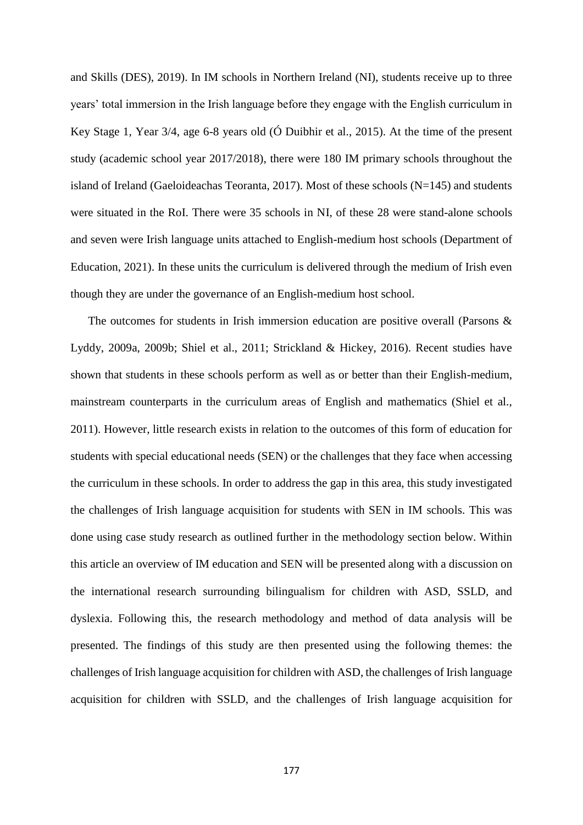and Skills (DES), 2019). In IM schools in Northern Ireland (NI), students receive up to three years' total immersion in the Irish language before they engage with the English curriculum in Key Stage 1, Year 3/4, age 6-8 years old (Ó Duibhir et al., 2015). At the time of the present study (academic school year 2017/2018), there were 180 IM primary schools throughout the island of Ireland (Gaeloideachas Teoranta, 2017). Most of these schools (N=145) and students were situated in the RoI. There were 35 schools in NI, of these 28 were stand-alone schools and seven were Irish language units attached to English-medium host schools (Department of Education, 2021). In these units the curriculum is delivered through the medium of Irish even though they are under the governance of an English-medium host school.

The outcomes for students in Irish immersion education are positive overall (Parsons & Lyddy, 2009a, 2009b; Shiel et al., 2011; Strickland & Hickey, 2016). Recent studies have shown that students in these schools perform as well as or better than their English-medium, mainstream counterparts in the curriculum areas of English and mathematics (Shiel et al., 2011). However, little research exists in relation to the outcomes of this form of education for students with special educational needs (SEN) or the challenges that they face when accessing the curriculum in these schools. In order to address the gap in this area, this study investigated the challenges of Irish language acquisition for students with SEN in IM schools. This was done using case study research as outlined further in the methodology section below. Within this article an overview of IM education and SEN will be presented along with a discussion on the international research surrounding bilingualism for children with ASD, SSLD, and dyslexia. Following this, the research methodology and method of data analysis will be presented. The findings of this study are then presented using the following themes: the challenges of Irish language acquisition for children with ASD, the challenges of Irish language acquisition for children with SSLD, and the challenges of Irish language acquisition for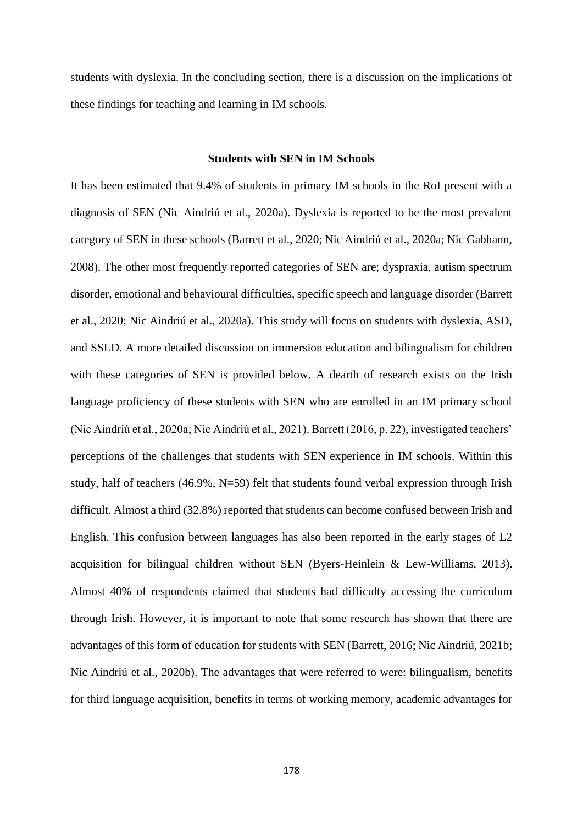students with dyslexia. In the concluding section, there is a discussion on the implications of these findings for teaching and learning in IM schools.

# **Students with SEN in IM Schools**

It has been estimated that 9.4% of students in primary IM schools in the RoI present with a diagnosis of SEN (Nic Aindriú et al., 2020a). Dyslexia is reported to be the most prevalent category of SEN in these schools (Barrett et al., 2020; Nic Aindriú et al., 2020a; Nic Gabhann, 2008). The other most frequently reported categories of SEN are; dyspraxia, autism spectrum disorder, emotional and behavioural difficulties, specific speech and language disorder (Barrett et al., 2020; Nic Aindriú et al., 2020a). This study will focus on students with dyslexia, ASD, and SSLD. A more detailed discussion on immersion education and bilingualism for children with these categories of SEN is provided below. A dearth of research exists on the Irish language proficiency of these students with SEN who are enrolled in an IM primary school (Nic Aindriú et al., 2020a; Nic Aindriú et al., 2021). Barrett (2016, p. 22), investigated teachers' perceptions of the challenges that students with SEN experience in IM schools. Within this study, half of teachers (46.9%, N=59) felt that students found verbal expression through Irish difficult. Almost a third (32.8%) reported that students can become confused between Irish and English. This confusion between languages has also been reported in the early stages of L2 acquisition for bilingual children without SEN (Byers-Heinlein & Lew-Williams, 2013). Almost 40% of respondents claimed that students had difficulty accessing the curriculum through Irish. However, it is important to note that some research has shown that there are advantages of this form of education for students with SEN (Barrett, 2016; Nic Aindriú, 2021b; Nic Aindriú et al., 2020b). The advantages that were referred to were: bilingualism, benefits for third language acquisition, benefits in terms of working memory, academic advantages for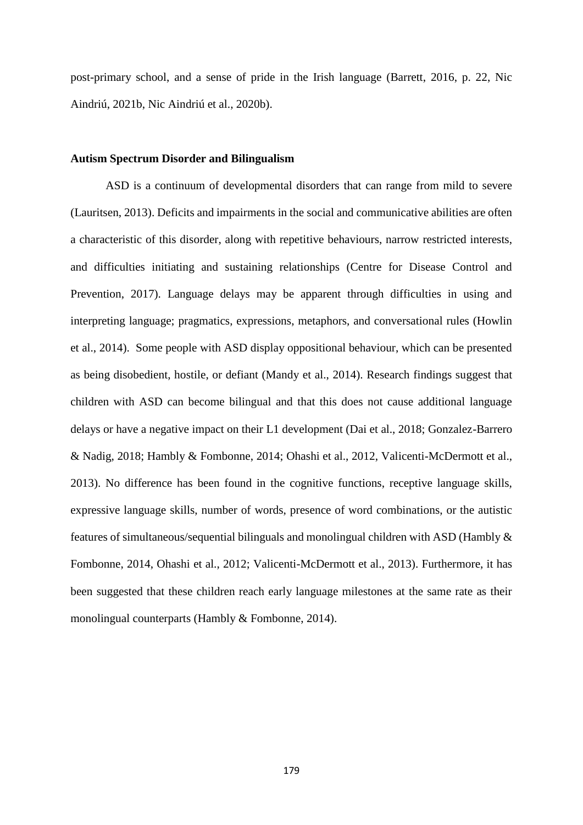post-primary school, and a sense of pride in the Irish language (Barrett, 2016, p. 22, Nic Aindriú, 2021b, Nic Aindriú et al., 2020b).

#### **Autism Spectrum Disorder and Bilingualism**

ASD is a continuum of developmental disorders that can range from mild to severe (Lauritsen, 2013). Deficits and impairments in the social and communicative abilities are often a characteristic of this disorder, along with repetitive behaviours, narrow restricted interests, and difficulties initiating and sustaining relationships (Centre for Disease Control and Prevention, 2017). Language delays may be apparent through difficulties in using and interpreting language; pragmatics, expressions, metaphors, and conversational rules (Howlin et al., 2014). Some people with ASD display oppositional behaviour, which can be presented as being disobedient, hostile, or defiant (Mandy et al., 2014). Research findings suggest that children with ASD can become bilingual and that this does not cause additional language delays or have a negative impact on their L1 development (Dai et al., 2018; Gonzalez-Barrero & Nadig, 2018; Hambly & Fombonne, 2014; Ohashi et al., 2012, Valicenti-McDermott et al., 2013). No difference has been found in the cognitive functions, receptive language skills, expressive language skills, number of words, presence of word combinations, or the autistic features of simultaneous/sequential bilinguals and monolingual children with ASD (Hambly & Fombonne, 2014, Ohashi et al., 2012; Valicenti-McDermott et al., 2013). Furthermore, it has been suggested that these children reach early language milestones at the same rate as their monolingual counterparts (Hambly & Fombonne, 2014).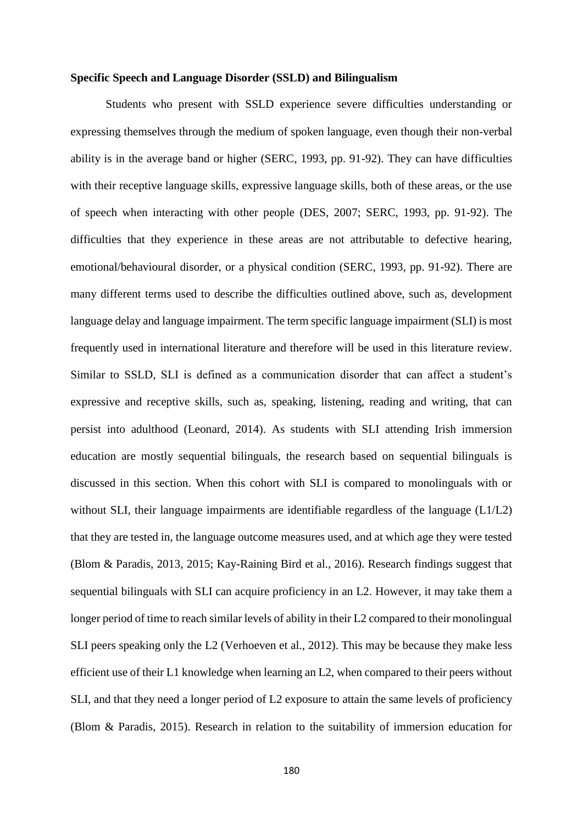### **Specific Speech and Language Disorder (SSLD) and Bilingualism**

Students who present with SSLD experience severe difficulties understanding or expressing themselves through the medium of spoken language, even though their non-verbal ability is in the average band or higher (SERC, 1993, pp. 91-92). They can have difficulties with their receptive language skills, expressive language skills, both of these areas, or the use of speech when interacting with other people (DES, 2007; SERC, 1993, pp. 91-92). The difficulties that they experience in these areas are not attributable to defective hearing, emotional/behavioural disorder, or a physical condition (SERC, 1993, pp. 91-92). There are many different terms used to describe the difficulties outlined above, such as, development language delay and language impairment. The term specific language impairment (SLI) is most frequently used in international literature and therefore will be used in this literature review. Similar to SSLD, SLI is defined as a communication disorder that can affect a student's expressive and receptive skills, such as, speaking, listening, reading and writing, that can persist into adulthood (Leonard, 2014). As students with SLI attending Irish immersion education are mostly sequential bilinguals, the research based on sequential bilinguals is discussed in this section. When this cohort with SLI is compared to monolinguals with or without SLI, their language impairments are identifiable regardless of the language (L1/L2) that they are tested in, the language outcome measures used, and at which age they were tested (Blom & Paradis, 2013, 2015; Kay-Raining Bird et al., 2016). Research findings suggest that sequential bilinguals with SLI can acquire proficiency in an L2. However, it may take them a longer period of time to reach similar levels of ability in their L2 compared to their monolingual SLI peers speaking only the L2 (Verhoeven et al., 2012). This may be because they make less efficient use of their L1 knowledge when learning an L2, when compared to their peers without SLI, and that they need a longer period of L2 exposure to attain the same levels of proficiency (Blom & Paradis, 2015). Research in relation to the suitability of immersion education for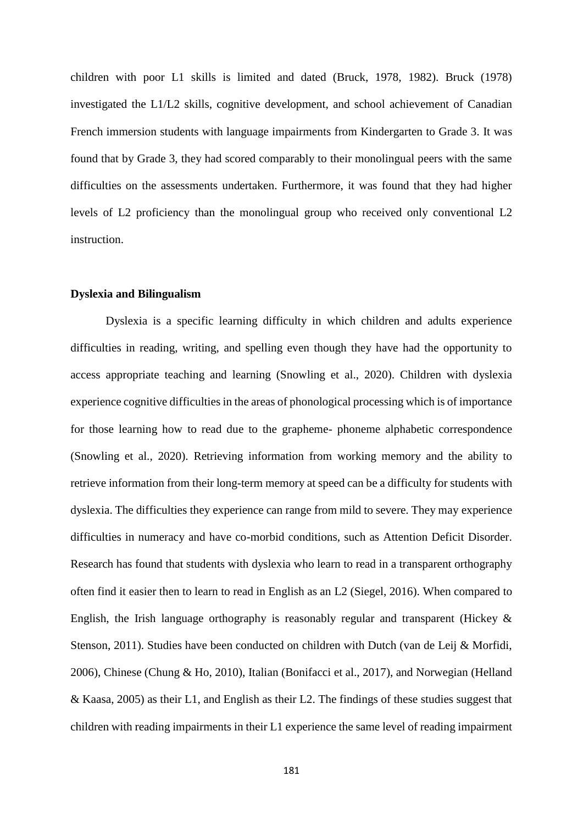children with poor L1 skills is limited and dated (Bruck, 1978, 1982). Bruck (1978) investigated the L1/L2 skills, cognitive development, and school achievement of Canadian French immersion students with language impairments from Kindergarten to Grade 3. It was found that by Grade 3, they had scored comparably to their monolingual peers with the same difficulties on the assessments undertaken. Furthermore, it was found that they had higher levels of L2 proficiency than the monolingual group who received only conventional L2 instruction.

# **Dyslexia and Bilingualism**

Dyslexia is a specific learning difficulty in which children and adults experience difficulties in reading, writing, and spelling even though they have had the opportunity to access appropriate teaching and learning (Snowling et al., 2020). Children with dyslexia experience cognitive difficulties in the areas of phonological processing which is of importance for those learning how to read due to the grapheme- phoneme alphabetic correspondence (Snowling et al., 2020). Retrieving information from working memory and the ability to retrieve information from their long-term memory at speed can be a difficulty for students with dyslexia. The difficulties they experience can range from mild to severe. They may experience difficulties in numeracy and have co-morbid conditions, such as Attention Deficit Disorder. Research has found that students with dyslexia who learn to read in a transparent orthography often find it easier then to learn to read in English as an L2 (Siegel, 2016). When compared to English, the Irish language orthography is reasonably regular and transparent (Hickey  $\&$ Stenson, 2011). Studies have been conducted on children with Dutch (van de Leij & Morfidi, 2006), Chinese (Chung & Ho, 2010), Italian (Bonifacci et al., 2017), and Norwegian (Helland & Kaasa, 2005) as their L1, and English as their L2. The findings of these studies suggest that children with reading impairments in their L1 experience the same level of reading impairment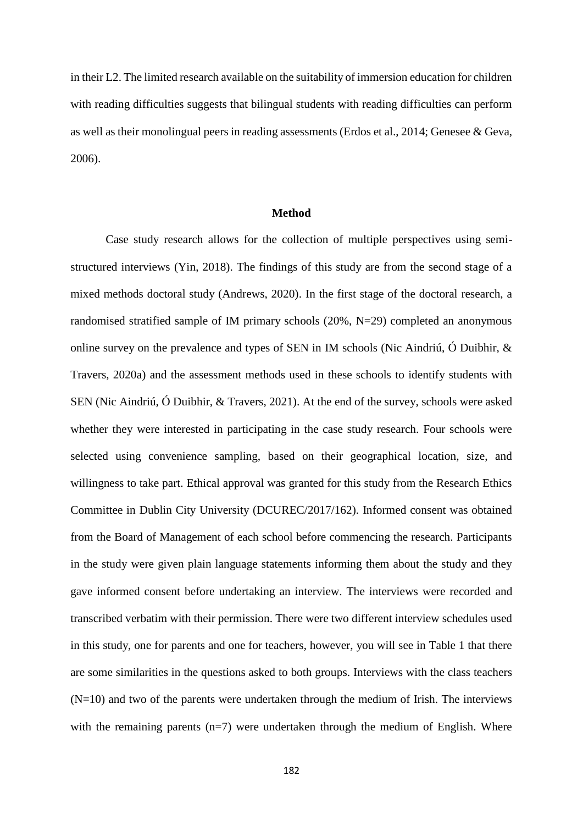in their L2. The limited research available on the suitability of immersion education for children with reading difficulties suggests that bilingual students with reading difficulties can perform as well as their monolingual peers in reading assessments (Erdos et al., 2014; Genesee & Geva, 2006).

### **Method**

Case study research allows for the collection of multiple perspectives using semistructured interviews (Yin, 2018). The findings of this study are from the second stage of a mixed methods doctoral study (Andrews, 2020). In the first stage of the doctoral research, a randomised stratified sample of IM primary schools (20%, N=29) completed an anonymous online survey on the prevalence and types of SEN in IM schools (Nic Aindriú, Ó Duibhir, & Travers, 2020a) and the assessment methods used in these schools to identify students with SEN (Nic Aindriú, Ó Duibhir, & Travers, 2021). At the end of the survey, schools were asked whether they were interested in participating in the case study research. Four schools were selected using convenience sampling, based on their geographical location, size, and willingness to take part. Ethical approval was granted for this study from the Research Ethics Committee in Dublin City University (DCUREC/2017/162). Informed consent was obtained from the Board of Management of each school before commencing the research. Participants in the study were given plain language statements informing them about the study and they gave informed consent before undertaking an interview. The interviews were recorded and transcribed verbatim with their permission. There were two different interview schedules used in this study, one for parents and one for teachers, however, you will see in Table 1 that there are some similarities in the questions asked to both groups. Interviews with the class teachers (N=10) and two of the parents were undertaken through the medium of Irish. The interviews with the remaining parents  $(n=7)$  were undertaken through the medium of English. Where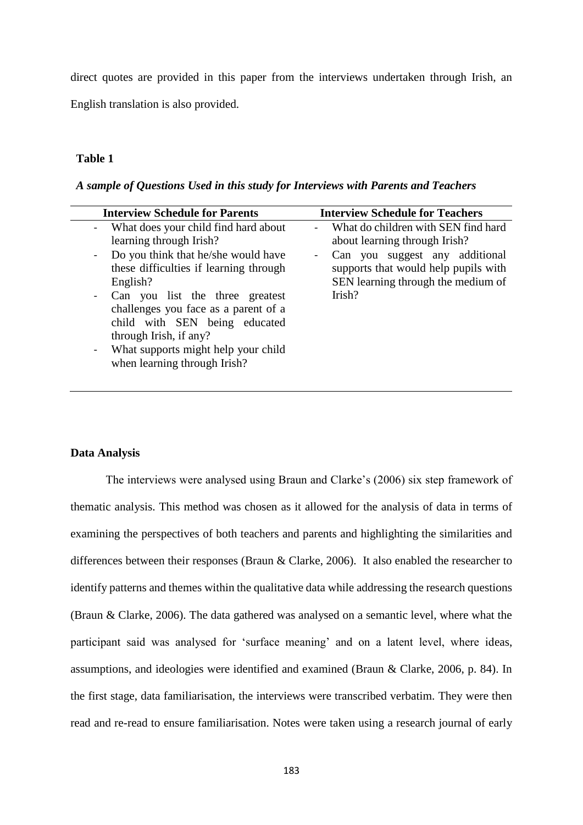direct quotes are provided in this paper from the interviews undertaken through Irish, an English translation is also provided.

# **Table 1**

*A sample of Questions Used in this study for Interviews with Parents and Teachers*

| <b>Interview Schedule for Parents</b>                                                                                                                                                                                                                                                                                                                                                                                   | <b>Interview Schedule for Teachers</b>                                                                                                                                                                   |  |  |  |
|-------------------------------------------------------------------------------------------------------------------------------------------------------------------------------------------------------------------------------------------------------------------------------------------------------------------------------------------------------------------------------------------------------------------------|----------------------------------------------------------------------------------------------------------------------------------------------------------------------------------------------------------|--|--|--|
| What does your child find hard about<br>learning through Irish?<br>Do you think that he/she would have<br>$\blacksquare$<br>these difficulties if learning through<br>English?<br>Can you list the three greatest<br>$\sim$<br>challenges you face as a parent of a<br>child with SEN being educated<br>through Irish, if any?<br>What supports might help your child<br>$\blacksquare$<br>when learning through Irish? | What do children with SEN find hard<br>$\sim$<br>about learning through Irish?<br>Can you suggest any additional<br>supports that would help pupils with<br>SEN learning through the medium of<br>Irish? |  |  |  |
|                                                                                                                                                                                                                                                                                                                                                                                                                         |                                                                                                                                                                                                          |  |  |  |

### **Data Analysis**

The interviews were analysed using Braun and Clarke's (2006) six step framework of thematic analysis. This method was chosen as it allowed for the analysis of data in terms of examining the perspectives of both teachers and parents and highlighting the similarities and differences between their responses (Braun & Clarke, 2006). It also enabled the researcher to identify patterns and themes within the qualitative data while addressing the research questions (Braun & Clarke, 2006). The data gathered was analysed on a semantic level, where what the participant said was analysed for 'surface meaning' and on a latent level, where ideas, assumptions, and ideologies were identified and examined (Braun & Clarke, 2006, p. 84). In the first stage, data familiarisation, the interviews were transcribed verbatim. They were then read and re-read to ensure familiarisation. Notes were taken using a research journal of early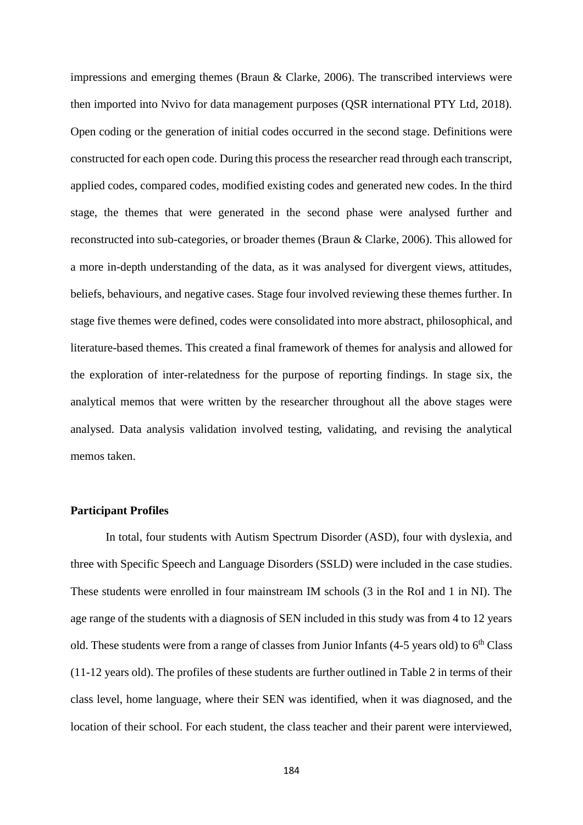impressions and emerging themes (Braun & Clarke, 2006). The transcribed interviews were then imported into Nvivo for data management purposes (QSR international PTY Ltd, 2018). Open coding or the generation of initial codes occurred in the second stage. Definitions were constructed for each open code. During this process the researcher read through each transcript, applied codes, compared codes, modified existing codes and generated new codes. In the third stage, the themes that were generated in the second phase were analysed further and reconstructed into sub-categories, or broader themes (Braun & Clarke, 2006). This allowed for a more in-depth understanding of the data, as it was analysed for divergent views, attitudes, beliefs, behaviours, and negative cases. Stage four involved reviewing these themes further. In stage five themes were defined, codes were consolidated into more abstract, philosophical, and literature-based themes. This created a final framework of themes for analysis and allowed for the exploration of inter-relatedness for the purpose of reporting findings. In stage six, the analytical memos that were written by the researcher throughout all the above stages were analysed. Data analysis validation involved testing, validating, and revising the analytical memos taken.

# **Participant Profiles**

In total, four students with Autism Spectrum Disorder (ASD), four with dyslexia, and three with Specific Speech and Language Disorders (SSLD) were included in the case studies. These students were enrolled in four mainstream IM schools (3 in the RoI and 1 in NI). The age range of the students with a diagnosis of SEN included in this study was from 4 to 12 years old. These students were from a range of classes from Junior Infants  $(4-5$  years old) to  $6<sup>th</sup>$  Class (11-12 years old). The profiles of these students are further outlined in Table 2 in terms of their class level, home language, where their SEN was identified, when it was diagnosed, and the location of their school. For each student, the class teacher and their parent were interviewed,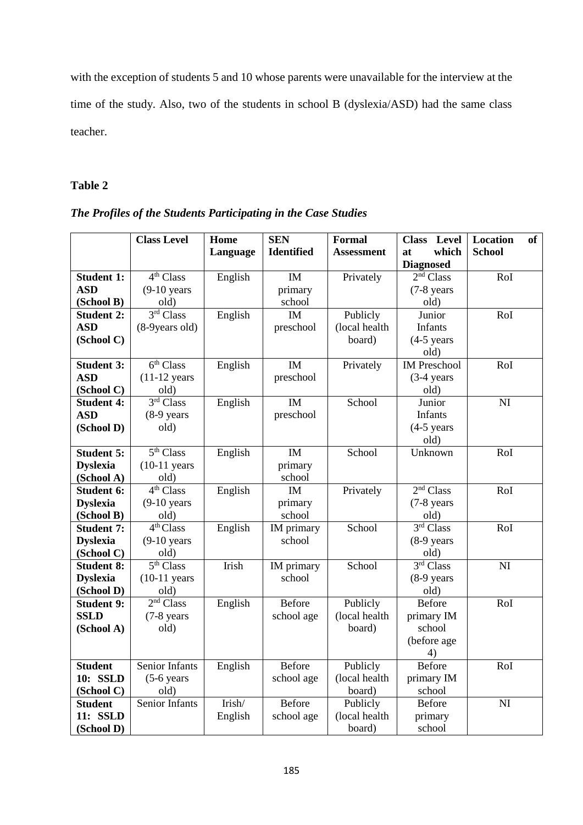with the exception of students 5 and 10 whose parents were unavailable for the interview at the time of the study. Also, two of the students in school B (dyslexia/ASD) had the same class teacher.

# **Table 2**

| The Profiles of the Students Participating in the Case Studies |  |  |  |
|----------------------------------------------------------------|--|--|--|
|----------------------------------------------------------------|--|--|--|

|                                  | <b>Class Level</b>            | Home     | <b>SEN</b>        | <b>Formal</b>             | Level<br><b>Class</b> | <b>Location</b><br><b>of</b> |
|----------------------------------|-------------------------------|----------|-------------------|---------------------------|-----------------------|------------------------------|
|                                  |                               | Language | <b>Identified</b> | Assessment                | which<br>at           | <b>School</b>                |
|                                  |                               |          |                   |                           | <b>Diagnosed</b>      |                              |
| <b>Student 1:</b>                | 4 <sup>th</sup> Class         | English  | IM                | Privately                 | 2 <sup>nd</sup> Class | RoI                          |
| <b>ASD</b>                       | $(9-10$ years                 |          | primary           |                           | $(7-8$ years          |                              |
| (School B)                       | old)                          |          | school            |                           | old)                  |                              |
| <b>Student 2:</b>                | 3 <sup>rd</sup> Class         | English  | IM                | Publicly                  | Junior                | RoI                          |
| <b>ASD</b>                       | (8-9 years old)               |          | preschool         | (local health             | <b>Infants</b>        |                              |
| (School C)                       |                               |          |                   | board)                    | $(4-5$ years          |                              |
|                                  |                               |          |                   |                           | old)                  |                              |
| <b>Student 3:</b>                | 6 <sup>th</sup> Class         | English  | IM                | Privately                 | <b>IM Preschool</b>   | RoI                          |
| <b>ASD</b>                       | $(11-12 \text{ years})$       |          | preschool         |                           | $(3-4)$ years         |                              |
| (School C)                       | old)                          |          |                   |                           | old)                  |                              |
| <b>Student 4:</b>                | 3 <sup>rd</sup> Class         | English  | IM                | School                    | Junior                | $\overline{\text{NI}}$       |
| <b>ASD</b>                       | $(8-9$ years                  |          | preschool         |                           | <b>Infants</b>        |                              |
| (School D)                       | old)                          |          |                   |                           | $(4-5$ years          |                              |
|                                  |                               |          |                   |                           | old)                  |                              |
| <b>Student 5:</b>                | $\overline{5^{th}$ Class      | English  | IM                | School                    | Unknown               | RoI                          |
| <b>Dyslexia</b>                  | $(10-11$ years                |          | primary           |                           |                       |                              |
| (School A)                       | old)                          |          | school            |                           |                       |                              |
| Student 6:                       | 4 <sup>th</sup> Class         | English  | IM                | Privately                 | 2 <sup>nd</sup> Class | RoI                          |
| <b>Dyslexia</b>                  | $(9-10$ years                 |          | primary           |                           | $(7-8$ years          |                              |
| (School B)                       | old)                          |          | school            |                           | old)                  |                              |
| <b>Student 7:</b>                | 4 <sup>th</sup> Class         | English  | IM primary        | School                    | 3rd Class             | RoI                          |
| <b>Dyslexia</b>                  | $(9-10 \text{ years})$        |          | school            |                           | $(8-9)$ years         |                              |
| (School C)                       | old)                          |          |                   |                           | old)                  |                              |
| <b>Student 8:</b>                | 5 <sup>th</sup> Class         | Irish    | IM primary        | School                    | 3 <sup>rd</sup> Class | NI                           |
| <b>Dyslexia</b>                  | $(10-11$ years                |          | school            |                           | $(8-9 \text{ years})$ |                              |
| (School D)                       | old)<br>2 <sup>nd</sup> Class |          | Before            |                           | old)                  |                              |
| <b>Student 9:</b><br><b>SSLD</b> |                               | English  |                   | Publicly<br>(local health | <b>Before</b>         | RoI                          |
|                                  | (7-8 years<br>old)            |          | school age        | board)                    | primary IM<br>school  |                              |
| (School A)                       |                               |          |                   |                           |                       |                              |
|                                  |                               |          |                   |                           | (before age<br>4)     |                              |
| <b>Student</b>                   | Senior Infants                | English  | <b>Before</b>     | Publicly                  | <b>Before</b>         | RoI                          |
| 10: SSLD                         | $(5-6$ years                  |          | school age        | (local health             | primary IM            |                              |
| (School C)                       | old)                          |          |                   | board)                    | school                |                              |
| <b>Student</b>                   | Senior Infants                | Irish/   | <b>Before</b>     | Publicly                  | <b>Before</b>         | NI                           |
| 11: SSLD                         |                               | English  | school age        | (local health             | primary               |                              |
| (School D)                       |                               |          |                   | board)                    | school                |                              |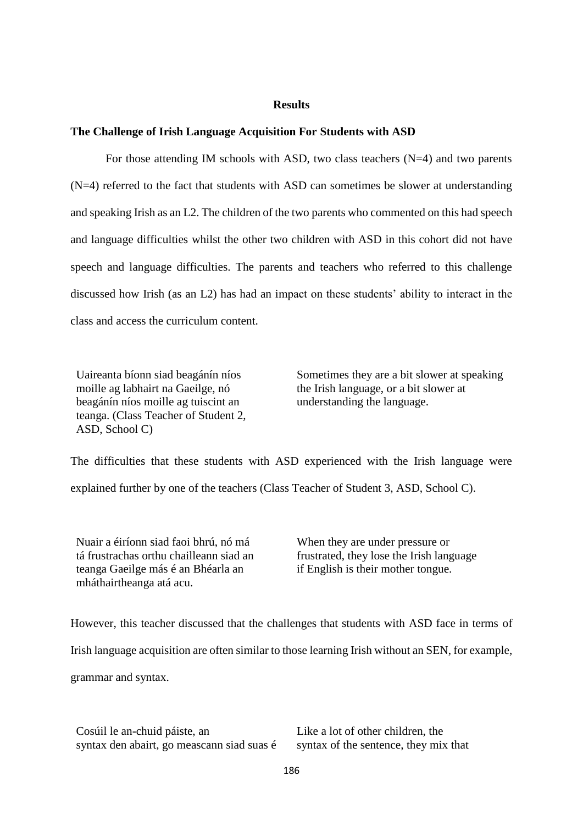# **Results**

### **The Challenge of Irish Language Acquisition For Students with ASD**

For those attending IM schools with ASD, two class teachers (N=4) and two parents (N=4) referred to the fact that students with ASD can sometimes be slower at understanding and speaking Irish as an L2. The children of the two parents who commented on this had speech and language difficulties whilst the other two children with ASD in this cohort did not have speech and language difficulties. The parents and teachers who referred to this challenge discussed how Irish (as an L2) has had an impact on these students' ability to interact in the class and access the curriculum content.

Uaireanta bíonn siad beagánín níos moille ag labhairt na Gaeilge, nó beagánín níos moille ag tuiscint an teanga. (Class Teacher of Student 2, ASD, School C)

Sometimes they are a bit slower at speaking the Irish language, or a bit slower at understanding the language.

The difficulties that these students with ASD experienced with the Irish language were explained further by one of the teachers (Class Teacher of Student 3, ASD, School C).

Nuair a éiríonn siad faoi bhrú, nó má tá frustrachas orthu chailleann siad an teanga Gaeilge más é an Bhéarla an mháthairtheanga atá acu.

When they are under pressure or frustrated, they lose the Irish language if English is their mother tongue.

However, this teacher discussed that the challenges that students with ASD face in terms of

Irish language acquisition are often similar to those learning Irish without an SEN, for example,

grammar and syntax.

Cosúil le an-chuid páiste, an syntax den abairt, go meascann siad suas é Like a lot of other children, the syntax of the sentence, they mix that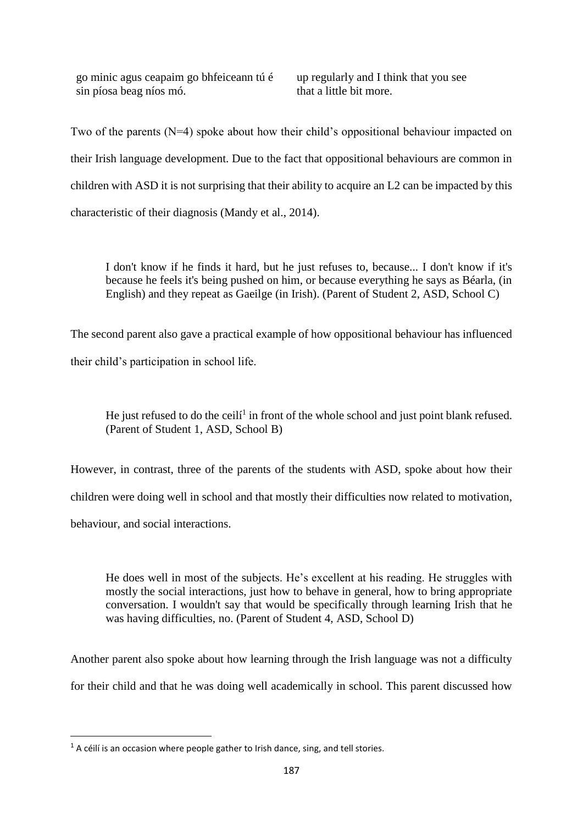go minic agus ceapaim go bhfeiceann tú é sin píosa beag níos mó.

up regularly and I think that you see that a little bit more.

Two of the parents (N=4) spoke about how their child's oppositional behaviour impacted on their Irish language development. Due to the fact that oppositional behaviours are common in children with ASD it is not surprising that their ability to acquire an L2 can be impacted by this characteristic of their diagnosis (Mandy et al., 2014).

I don't know if he finds it hard, but he just refuses to, because... I don't know if it's because he feels it's being pushed on him, or because everything he says as Béarla, (in English) and they repeat as Gaeilge (in Irish). (Parent of Student 2, ASD, School C)

The second parent also gave a practical example of how oppositional behaviour has influenced their child's participation in school life.

He just refused to do the ceili<sup>1</sup> in front of the whole school and just point blank refused. (Parent of Student 1, ASD, School B)

However, in contrast, three of the parents of the students with ASD, spoke about how their children were doing well in school and that mostly their difficulties now related to motivation, behaviour, and social interactions.

He does well in most of the subjects. He's excellent at his reading. He struggles with mostly the social interactions, just how to behave in general, how to bring appropriate conversation. I wouldn't say that would be specifically through learning Irish that he was having difficulties, no. (Parent of Student 4, ASD, School D)

Another parent also spoke about how learning through the Irish language was not a difficulty for their child and that he was doing well academically in school. This parent discussed how

**.** 

 $1$  A céilí is an occasion where people gather to Irish dance, sing, and tell stories.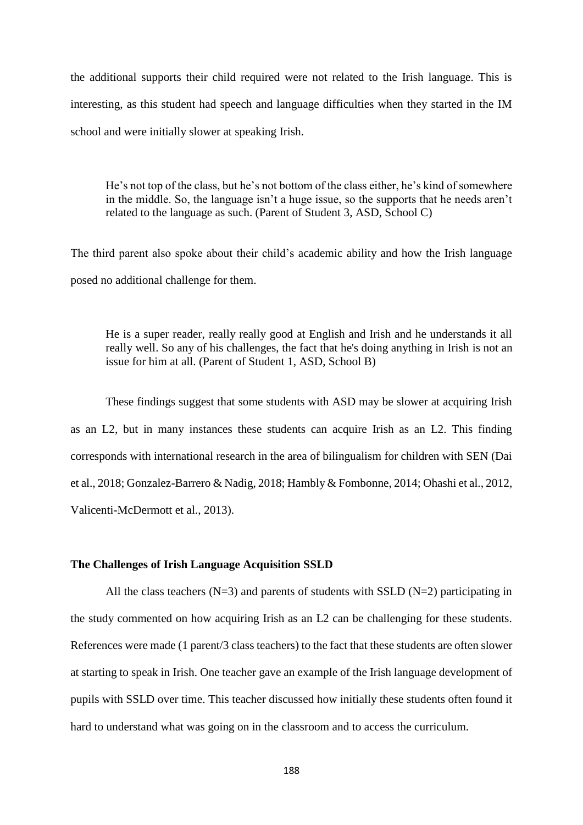the additional supports their child required were not related to the Irish language. This is interesting, as this student had speech and language difficulties when they started in the IM school and were initially slower at speaking Irish.

He's not top of the class, but he's not bottom of the class either, he's kind of somewhere in the middle. So, the language isn't a huge issue, so the supports that he needs aren't related to the language as such. (Parent of Student 3, ASD, School C)

The third parent also spoke about their child's academic ability and how the Irish language posed no additional challenge for them.

He is a super reader, really really good at English and Irish and he understands it all really well. So any of his challenges, the fact that he's doing anything in Irish is not an issue for him at all. (Parent of Student 1, ASD, School B)

These findings suggest that some students with ASD may be slower at acquiring Irish as an L2, but in many instances these students can acquire Irish as an L2. This finding corresponds with international research in the area of bilingualism for children with SEN (Dai et al., 2018; Gonzalez-Barrero & Nadig, 2018; Hambly & Fombonne, 2014; Ohashi et al., 2012, Valicenti-McDermott et al., 2013).

### **The Challenges of Irish Language Acquisition SSLD**

All the class teachers  $(N=3)$  and parents of students with SSLD  $(N=2)$  participating in the study commented on how acquiring Irish as an L2 can be challenging for these students. References were made (1 parent/3 class teachers) to the fact that these students are often slower at starting to speak in Irish. One teacher gave an example of the Irish language development of pupils with SSLD over time. This teacher discussed how initially these students often found it hard to understand what was going on in the classroom and to access the curriculum.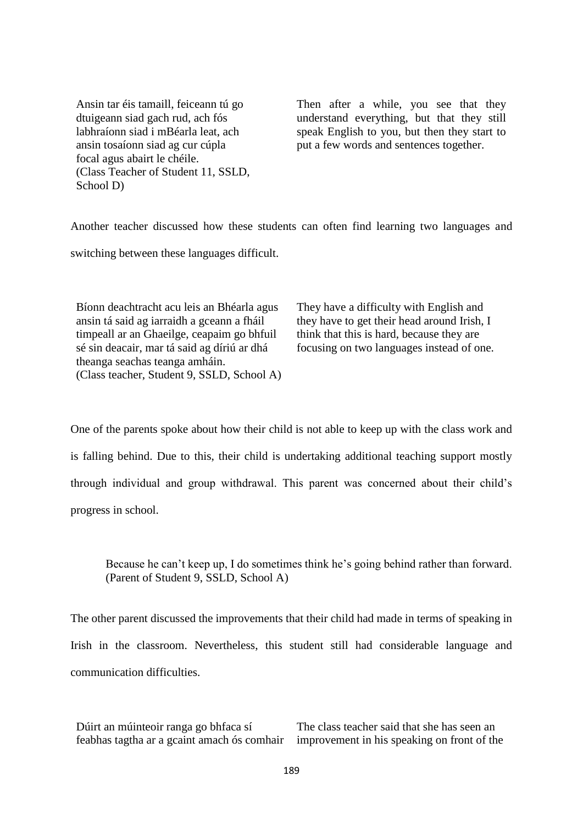Ansin tar éis tamaill, feiceann tú go dtuigeann siad gach rud, ach fós labhraíonn siad i mBéarla leat, ach ansin tosaíonn siad ag cur cúpla focal agus abairt le chéile. (Class Teacher of Student 11, SSLD, School D)

Then after a while, you see that they understand everything, but that they still speak English to you, but then they start to put a few words and sentences together.

Another teacher discussed how these students can often find learning two languages and switching between these languages difficult.

Bíonn deachtracht acu leis an Bhéarla agus ansin tá said ag iarraidh a gceann a fháil timpeall ar an Ghaeilge, ceapaim go bhfuil sé sin deacair, mar tá said ag díriú ar dhá theanga seachas teanga amháin. (Class teacher, Student 9, SSLD, School A) They have a difficulty with English and they have to get their head around Irish, I think that this is hard, because they are focusing on two languages instead of one.

One of the parents spoke about how their child is not able to keep up with the class work and is falling behind. Due to this, their child is undertaking additional teaching support mostly through individual and group withdrawal. This parent was concerned about their child's progress in school.

Because he can't keep up, I do sometimes think he's going behind rather than forward. (Parent of Student 9, SSLD, School A)

The other parent discussed the improvements that their child had made in terms of speaking in Irish in the classroom. Nevertheless, this student still had considerable language and communication difficulties.

Dúirt an múinteoir ranga go bhfaca sí feabhas tagtha ar a gcaint amach ós comhair The class teacher said that she has seen an improvement in his speaking on front of the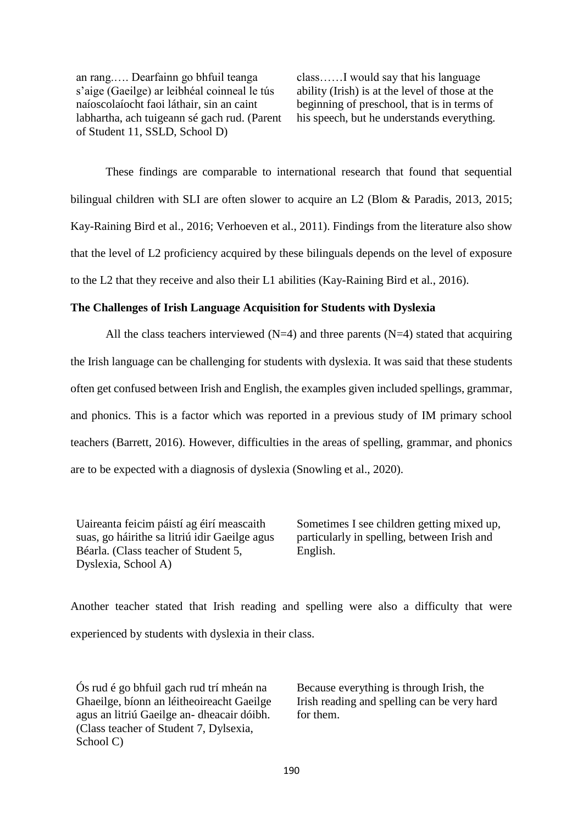an rang.…. Dearfainn go bhfuil teanga s'aige (Gaeilge) ar leibhéal coinneal le tús naíoscolaíocht faoi láthair, sin an caint labhartha, ach tuigeann sé gach rud. (Parent of Student 11, SSLD, School D)

class……I would say that his language ability (Irish) is at the level of those at the beginning of preschool, that is in terms of his speech, but he understands everything.

These findings are comparable to international research that found that sequential bilingual children with SLI are often slower to acquire an L2 (Blom & Paradis, 2013, 2015; Kay-Raining Bird et al., 2016; Verhoeven et al., 2011). Findings from the literature also show that the level of L2 proficiency acquired by these bilinguals depends on the level of exposure to the L2 that they receive and also their L1 abilities (Kay-Raining Bird et al., 2016).

### **The Challenges of Irish Language Acquisition for Students with Dyslexia**

All the class teachers interviewed  $(N=4)$  and three parents  $(N=4)$  stated that acquiring the Irish language can be challenging for students with dyslexia. It was said that these students often get confused between Irish and English, the examples given included spellings, grammar, and phonics. This is a factor which was reported in a previous study of IM primary school teachers (Barrett, 2016). However, difficulties in the areas of spelling, grammar, and phonics are to be expected with a diagnosis of dyslexia (Snowling et al., 2020).

Uaireanta feicim páistí ag éirí meascaith suas, go háirithe sa litriú idir Gaeilge agus Béarla. (Class teacher of Student 5, Dyslexia, School A)

Sometimes I see children getting mixed up, particularly in spelling, between Irish and English.

Another teacher stated that Irish reading and spelling were also a difficulty that were experienced by students with dyslexia in their class.

Ós rud é go bhfuil gach rud trí mheán na Ghaeilge, bíonn an léitheoireacht Gaeilge agus an litriú Gaeilge an- dheacair dóibh. (Class teacher of Student 7, Dylsexia, School C)

Because everything is through Irish, the Irish reading and spelling can be very hard for them.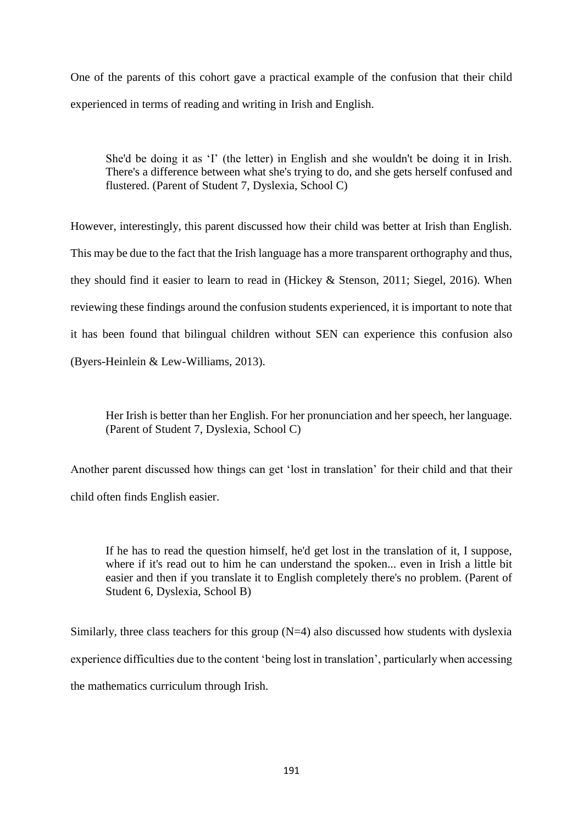One of the parents of this cohort gave a practical example of the confusion that their child experienced in terms of reading and writing in Irish and English.

She'd be doing it as 'I' (the letter) in English and she wouldn't be doing it in Irish. There's a difference between what she's trying to do, and she gets herself confused and flustered. (Parent of Student 7, Dyslexia, School C)

However, interestingly, this parent discussed how their child was better at Irish than English. This may be due to the fact that the Irish language has a more transparent orthography and thus, they should find it easier to learn to read in (Hickey & Stenson, 2011; Siegel, 2016). When reviewing these findings around the confusion students experienced, it is important to note that it has been found that bilingual children without SEN can experience this confusion also (Byers-Heinlein & Lew-Williams, 2013).

Her Irish is better than her English. For her pronunciation and her speech, her language. (Parent of Student 7, Dyslexia, School C)

Another parent discussed how things can get 'lost in translation' for their child and that their child often finds English easier.

If he has to read the question himself, he'd get lost in the translation of it, I suppose, where if it's read out to him he can understand the spoken... even in Irish a little bit easier and then if you translate it to English completely there's no problem. (Parent of Student 6, Dyslexia, School B)

Similarly, three class teachers for this group  $(N=4)$  also discussed how students with dyslexia experience difficulties due to the content 'being lost in translation', particularly when accessing the mathematics curriculum through Irish.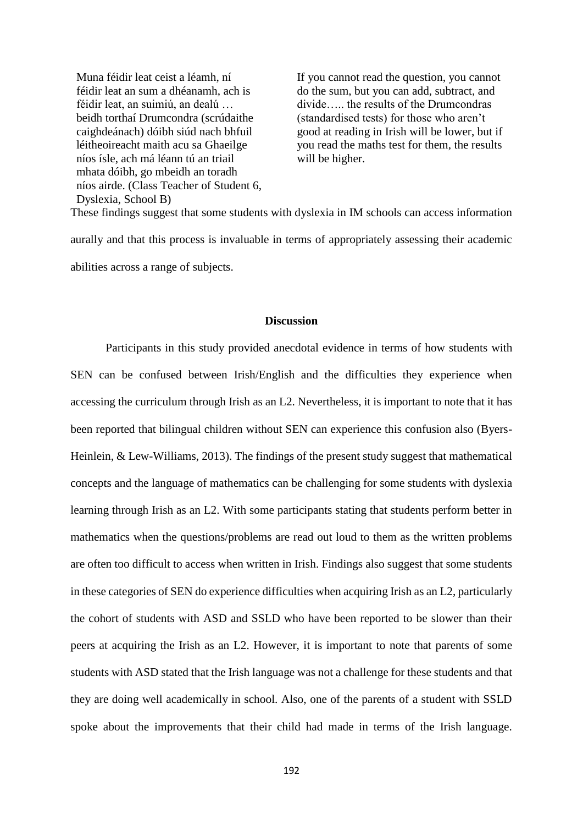Muna féidir leat ceist a léamh, ní féidir leat an sum a dhéanamh, ach is féidir leat, an suimiú, an dealú … beidh torthaí Drumcondra (scrúdaithe caighdeánach) dóibh siúd nach bhfuil léitheoireacht maith acu sa Ghaeilge níos ísle, ach má léann tú an triail mhata dóibh, go mbeidh an toradh níos airde. (Class Teacher of Student 6, Dyslexia, School B)

If you cannot read the question, you cannot do the sum, but you can add, subtract, and divide….. the results of the Drumcondras (standardised tests) for those who aren't good at reading in Irish will be lower, but if you read the maths test for them, the results will be higher.

These findings suggest that some students with dyslexia in IM schools can access information aurally and that this process is invaluable in terms of appropriately assessing their academic abilities across a range of subjects.

### **Discussion**

Participants in this study provided anecdotal evidence in terms of how students with SEN can be confused between Irish/English and the difficulties they experience when accessing the curriculum through Irish as an L2. Nevertheless, it is important to note that it has been reported that bilingual children without SEN can experience this confusion also (Byers-Heinlein, & Lew-Williams, 2013). The findings of the present study suggest that mathematical concepts and the language of mathematics can be challenging for some students with dyslexia learning through Irish as an L2. With some participants stating that students perform better in mathematics when the questions/problems are read out loud to them as the written problems are often too difficult to access when written in Irish. Findings also suggest that some students in these categories of SEN do experience difficulties when acquiring Irish as an L2, particularly the cohort of students with ASD and SSLD who have been reported to be slower than their peers at acquiring the Irish as an L2. However, it is important to note that parents of some students with ASD stated that the Irish language was not a challenge for these students and that they are doing well academically in school. Also, one of the parents of a student with SSLD spoke about the improvements that their child had made in terms of the Irish language.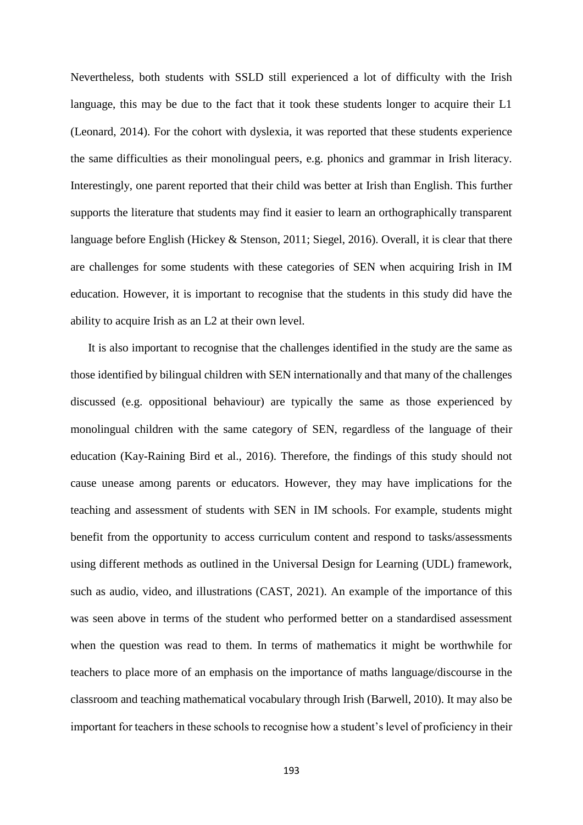Nevertheless, both students with SSLD still experienced a lot of difficulty with the Irish language, this may be due to the fact that it took these students longer to acquire their L1 (Leonard, 2014). For the cohort with dyslexia, it was reported that these students experience the same difficulties as their monolingual peers, e.g. phonics and grammar in Irish literacy. Interestingly, one parent reported that their child was better at Irish than English. This further supports the literature that students may find it easier to learn an orthographically transparent language before English (Hickey & Stenson, 2011; Siegel, 2016). Overall, it is clear that there are challenges for some students with these categories of SEN when acquiring Irish in IM education. However, it is important to recognise that the students in this study did have the ability to acquire Irish as an L2 at their own level.

It is also important to recognise that the challenges identified in the study are the same as those identified by bilingual children with SEN internationally and that many of the challenges discussed (e.g. oppositional behaviour) are typically the same as those experienced by monolingual children with the same category of SEN, regardless of the language of their education (Kay-Raining Bird et al., 2016). Therefore, the findings of this study should not cause unease among parents or educators. However, they may have implications for the teaching and assessment of students with SEN in IM schools. For example, students might benefit from the opportunity to access curriculum content and respond to tasks/assessments using different methods as outlined in the Universal Design for Learning (UDL) framework, such as audio, video, and illustrations (CAST, 2021). An example of the importance of this was seen above in terms of the student who performed better on a standardised assessment when the question was read to them. In terms of mathematics it might be worthwhile for teachers to place more of an emphasis on the importance of maths language/discourse in the classroom and teaching mathematical vocabulary through Irish (Barwell, 2010). It may also be important for teachers in these schools to recognise how a student's level of proficiency in their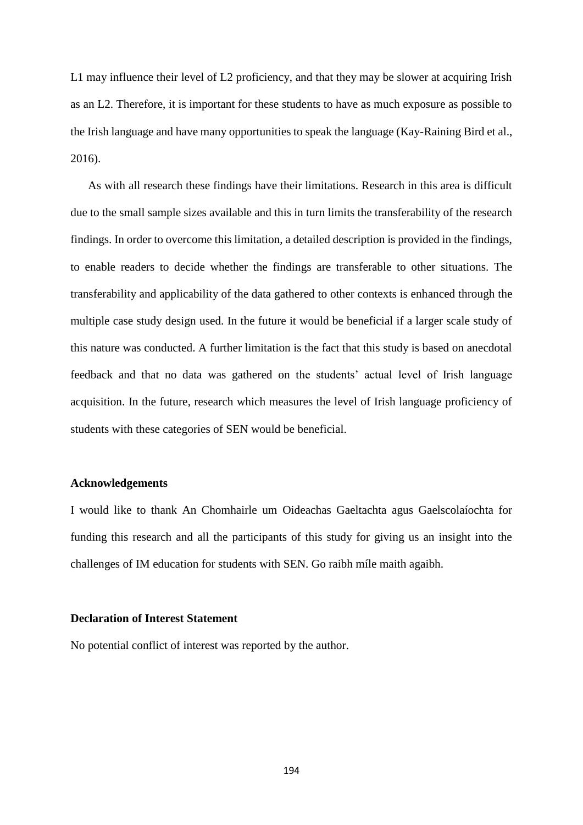L1 may influence their level of L2 proficiency, and that they may be slower at acquiring Irish as an L2. Therefore, it is important for these students to have as much exposure as possible to the Irish language and have many opportunities to speak the language (Kay-Raining Bird et al., 2016).

As with all research these findings have their limitations. Research in this area is difficult due to the small sample sizes available and this in turn limits the transferability of the research findings. In order to overcome this limitation, a detailed description is provided in the findings, to enable readers to decide whether the findings are transferable to other situations. The transferability and applicability of the data gathered to other contexts is enhanced through the multiple case study design used. In the future it would be beneficial if a larger scale study of this nature was conducted. A further limitation is the fact that this study is based on anecdotal feedback and that no data was gathered on the students' actual level of Irish language acquisition. In the future, research which measures the level of Irish language proficiency of students with these categories of SEN would be beneficial.

### **Acknowledgements**

I would like to thank An Chomhairle um Oideachas Gaeltachta agus Gaelscolaíochta for funding this research and all the participants of this study for giving us an insight into the challenges of IM education for students with SEN. Go raibh míle maith agaibh.

# **Declaration of Interest Statement**

No potential conflict of interest was reported by the author.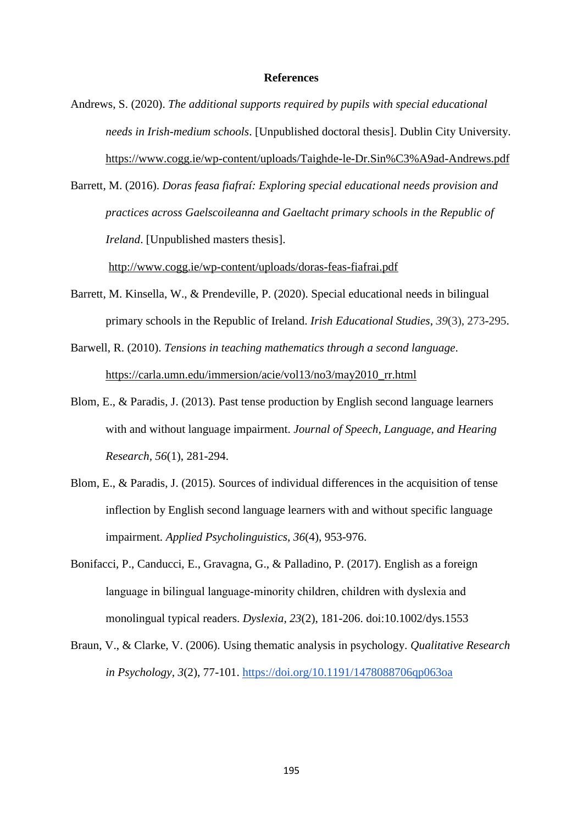### **References**

Andrews, S. (2020). *The additional supports required by pupils with special educational needs in Irish-medium schools*. [Unpublished doctoral thesis]. Dublin City University. <https://www.cogg.ie/wp-content/uploads/Taighde-le-Dr.Sin%C3%A9ad-Andrews.pdf>

Barrett, M. (2016). *Doras feasa fiafraí: Exploring special educational needs provision and practices across Gaelscoileanna and Gaeltacht primary schools in the Republic of Ireland*. [Unpublished masters thesis].

<http://www.cogg.ie/wp-content/uploads/doras-feas-fiafrai.pdf>

- Barrett, M. Kinsella, W., & Prendeville, P. (2020). Special educational needs in bilingual primary schools in the Republic of Ireland. *Irish Educational Studies*, *39*(3), 273-295.
- Barwell, R. (2010). *Tensions in teaching mathematics through a second language*. [https://carla.umn.edu/immersion/acie/vol13/no3/may2010\\_rr.html](https://carla.umn.edu/immersion/acie/vol13/no3/may2010_rr.html)
- Blom, E., & Paradis, J. (2013). Past tense production by English second language learners with and without language impairment. *Journal of Speech, Language, and Hearing Research, 56*(1), 281-294.
- Blom, E., & Paradis, J. (2015). Sources of individual differences in the acquisition of tense inflection by English second language learners with and without specific language impairment. *Applied Psycholinguistics, 36*(4), 953-976.
- Bonifacci, P., Canducci, E., Gravagna, G., & Palladino, P. (2017). English as a foreign language in bilingual language‐minority children, children with dyslexia and monolingual typical readers. *Dyslexia, 23*(2), 181-206. doi:10.1002/dys.1553
- Braun, V., & Clarke, V. (2006). Using thematic analysis in psychology. *Qualitative Research in Psychology, 3*(2), 77-101.<https://doi.org/10.1191/1478088706qp063oa>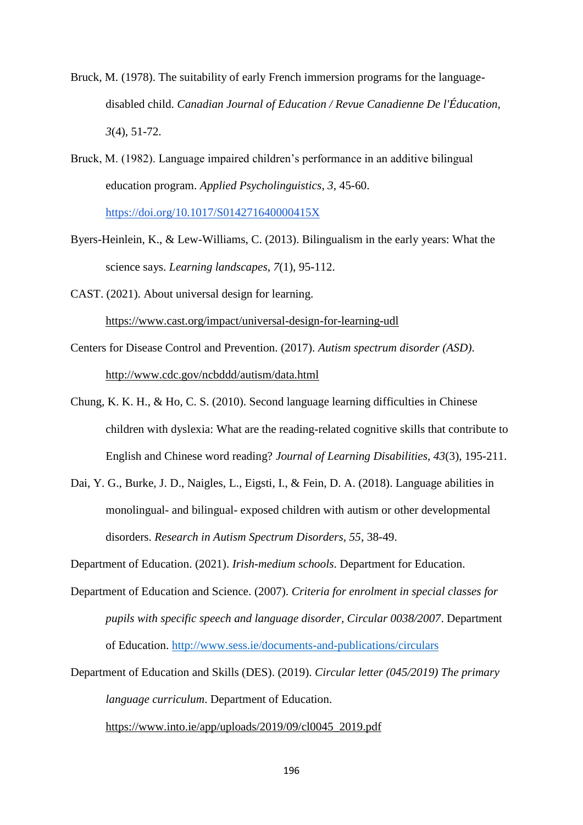- Bruck, M. (1978). The suitability of early French immersion programs for the languagedisabled child. *Canadian Journal of Education / Revue Canadienne De l'Éducation*, *3*(4), 51-72.
- Bruck, M. (1982). Language impaired children's performance in an additive bilingual education program. *Applied Psycholinguistics*, *3*, 45-60. <https://doi.org/10.1017/S014271640000415X>
- Byers-Heinlein, K., & Lew-Williams, C. (2013). Bilingualism in the early years: What the science says. *Learning landscapes*, *7*(1), 95-112.
- CAST. (2021). About universal design for learning. <https://www.cast.org/impact/universal-design-for-learning-udl>
- Centers for Disease Control and Prevention. (2017). *Autism spectrum disorder (ASD)*. <http://www.cdc.gov/ncbddd/autism/data.html>
- Chung, K. K. H., & Ho, C. S. (2010). Second language learning difficulties in Chinese children with dyslexia: What are the reading-related cognitive skills that contribute to English and Chinese word reading? *Journal of Learning Disabilities, 43*(3), 195-211.
- Dai, Y. G., Burke, J. D., Naigles, L., Eigsti, I., & Fein, D. A. (2018). Language abilities in monolingual- and bilingual- exposed children with autism or other developmental disorders. *Research in Autism Spectrum Disorders, 55*, 38-49.

Department of Education. (2021). *Irish-medium schools*. Department for Education.

- Department of Education and Science. (2007). *Criteria for enrolment in special classes for pupils with specific speech and language disorder, Circular 0038/2007*. Department of Education.<http://www.sess.ie/documents-and-publications/circulars>
- Department of Education and Skills (DES). (2019). *Circular letter (045/2019) The primary language curriculum*. Department of Education.

[https://www.into.ie/app/uploads/2019/09/cl0045\\_2019.pdf](https://www.into.ie/app/uploads/2019/09/cl0045_2019.pdf)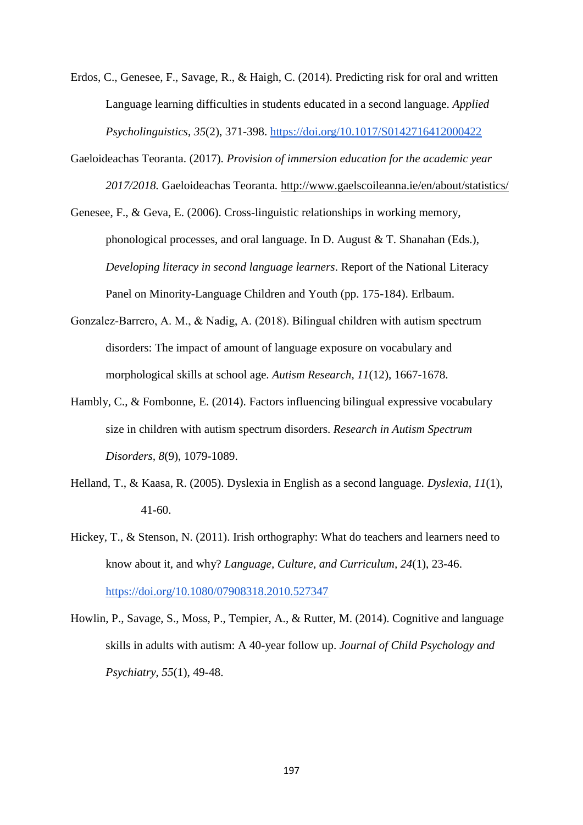Erdos, C., Genesee, F., Savage, R., & Haigh, C. (2014). Predicting risk for oral and written Language learning difficulties in students educated in a second language. *Applied Psycholinguistics*, *35*(2), 371-398.<https://doi.org/10.1017/S0142716412000422>

Gaeloideachas Teoranta. (2017). *Provision of immersion education for the academic year 2017/2018.* Gaeloideachas Teoranta*.* <http://www.gaelscoileanna.ie/en/about/statistics/>

Genesee, F., & Geva, E. (2006). Cross-linguistic relationships in working memory, phonological processes, and oral language. In D. August & T. Shanahan (Eds.), *Developing literacy in second language learners*. Report of the National Literacy Panel on Minority-Language Children and Youth (pp. 175-184). Erlbaum.

- Gonzalez‐Barrero, A. M., & Nadig, A. (2018). Bilingual children with autism spectrum disorders: The impact of amount of language exposure on vocabulary and morphological skills at school age. *Autism Research, 11*(12), 1667-1678.
- Hambly, C., & Fombonne, E. (2014). Factors influencing bilingual expressive vocabulary size in children with autism spectrum disorders. *Research in Autism Spectrum Disorders, 8*(9), 1079-1089.
- Helland, T., & Kaasa, R. (2005). Dyslexia in English as a second language. *Dyslexia, 11*(1), 41-60.
- Hickey, T., & Stenson, N. (2011). Irish orthography: What do teachers and learners need to know about it, and why? *Language, Culture, and Curriculum, 24*(1), 23-46. <https://doi.org/10.1080/07908318.2010.527347>
- Howlin, P., Savage, S., Moss, P., Tempier, A., & Rutter, M. (2014). Cognitive and language skills in adults with autism: A 40-year follow up. *Journal of Child Psychology and Psychiatry*, *55*(1), 49-48.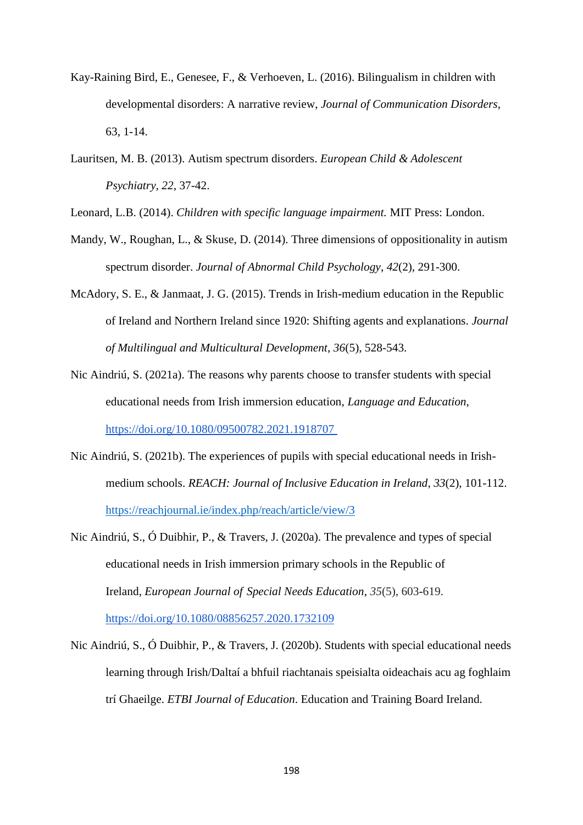- Kay-Raining Bird, E., Genesee, F., & Verhoeven, L. (2016). Bilingualism in children with developmental disorders: A narrative review, *Journal of Communication Disorders*, 63, 1-14.
- Lauritsen, M. B. (2013). Autism spectrum disorders. *European Child & Adolescent Psychiatry, 22*, 37-42.

Leonard, L.B. (2014). *Children with specific language impairment.* MIT Press: London.

- Mandy, W., Roughan, L., & Skuse, D. (2014). Three dimensions of oppositionality in autism spectrum disorder. *Journal of Abnormal Child Psychology*, *42*(2), 291-300.
- McAdory, S. E., & Janmaat, J. G. (2015). Trends in Irish-medium education in the Republic of Ireland and Northern Ireland since 1920: Shifting agents and explanations. *Journal of Multilingual and Multicultural Development*, *36*(5), 528-543.
- Nic Aindriú, S. (2021a). The reasons why parents choose to transfer students with special educational needs from Irish immersion education, *Language and Education*, <https://doi.org/10.1080/09500782.2021.1918707>
- Nic Aindriú, S. (2021b). The experiences of pupils with special educational needs in Irishmedium schools. *REACH: Journal of Inclusive Education in Ireland*, *33*(2), 101-112. <https://reachjournal.ie/index.php/reach/article/view/3>
- Nic Aindriú, S., Ó Duibhir, P., & Travers, J. (2020a). The prevalence and types of special educational needs in Irish immersion primary schools in the Republic of Ireland, *European Journal of Special Needs Education*, *35*(5), 603-619. <https://doi.org/10.1080/08856257.2020.1732109>
- Nic Aindriú, S., Ó Duibhir, P., & Travers, J. (2020b). Students with special educational needs learning through Irish/Daltaí a bhfuil riachtanais speisialta oideachais acu ag foghlaim trí Ghaeilge. *ETBI Journal of Education*. Education and Training Board Ireland.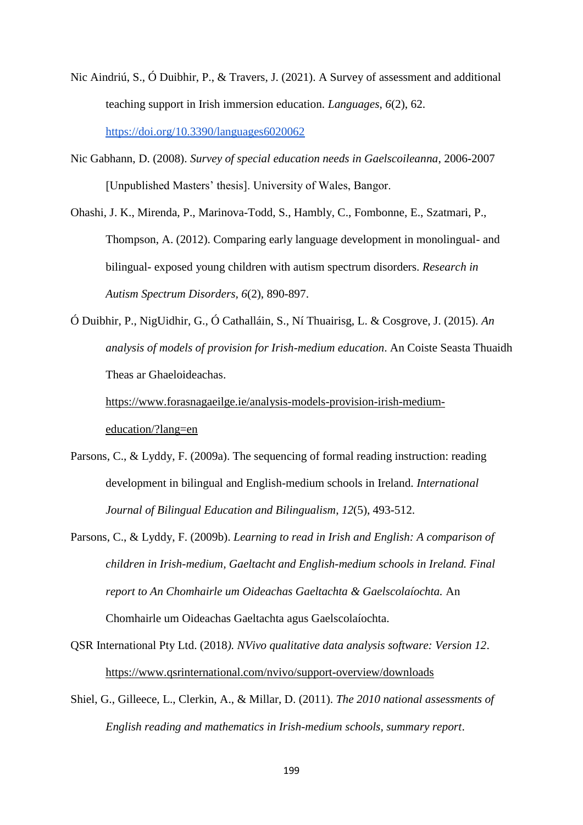- Nic Aindriú, S., Ó Duibhir, P., & Travers, J. (2021). A Survey of assessment and additional teaching support in Irish immersion education. *Languages*, *6*(2), 62. <https://doi.org/10.3390/languages6020062>
- Nic Gabhann, D. (2008). *Survey of special education needs in Gaelscoileanna*, 2006-2007 [Unpublished Masters' thesis]. University of Wales, Bangor.
- Ohashi, J. K., Mirenda, P., Marinova-Todd, S., Hambly, C., Fombonne, E., Szatmari, P., Thompson, A. (2012). Comparing early language development in monolingual- and bilingual- exposed young children with autism spectrum disorders. *Research in Autism Spectrum Disorders, 6*(2), 890-897.
- Ó Duibhir, P., NigUidhir, G., Ó Cathalláin, S., Ní Thuairisg, L. & Cosgrove, J. (2015). *An analysis of models of provision for Irish-medium education*. An Coiste Seasta Thuaidh Theas ar Ghaeloideachas.

[https://www.forasnagaeilge.ie/analysis-models-provision-irish-medium](https://www.forasnagaeilge.ie/analysis-models-provision-irish-medium-education/?lang=en)[education/?lang=en](https://www.forasnagaeilge.ie/analysis-models-provision-irish-medium-education/?lang=en)

- Parsons, C., & Lyddy, F. (2009a). The sequencing of formal reading instruction: reading development in bilingual and English-medium schools in Ireland. *International Journal of Bilingual Education and Bilingualism*, *12*(5), 493-512.
- Parsons, C., & Lyddy, F. (2009b). *Learning to read in Irish and English: A comparison of children in Irish-medium, Gaeltacht and English-medium schools in Ireland. Final report to An Chomhairle um Oideachas Gaeltachta & Gaelscolaíochta.* An Chomhairle um Oideachas Gaeltachta agus Gaelscolaíochta.
- QSR International Pty Ltd. (2018*). NVivo qualitative data analysis software: Version 12*. <https://www.qsrinternational.com/nvivo/support-overview/downloads>
- Shiel, G., Gilleece, L., Clerkin, A., & Millar, D. (2011). *The 2010 national assessments of English reading and mathematics in Irish-medium schools, summary report*.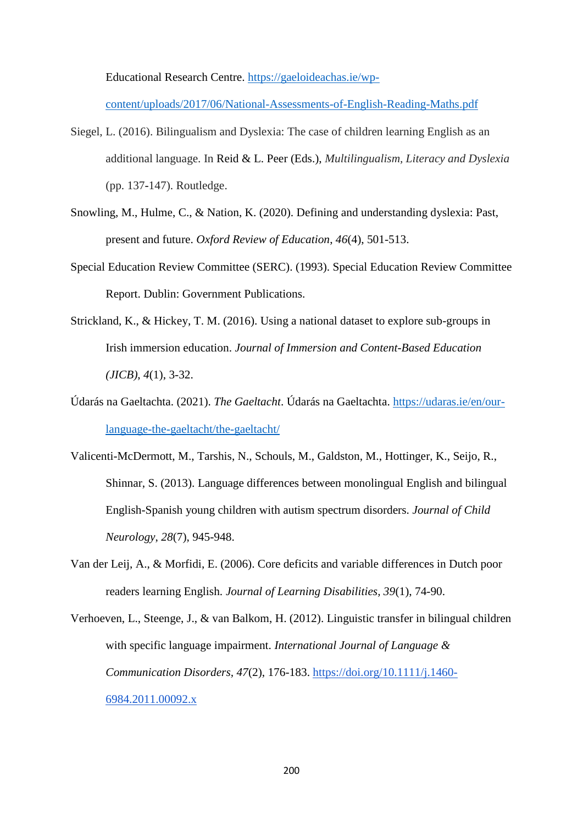Educational Research Centre. [https://gaeloideachas.ie/wp-](https://gaeloideachas.ie/wp-content/uploads/2017/06/National-Assessments-of-English-Reading-Maths.pdf)

[content/uploads/2017/06/National-Assessments-of-English-Reading-Maths.pdf](https://gaeloideachas.ie/wp-content/uploads/2017/06/National-Assessments-of-English-Reading-Maths.pdf)

- Siegel, L. (2016). Bilingualism and Dyslexia: The case of children learning English as an additional language. In Reid & L. Peer (Eds.), *Multilingualism, Literacy and Dyslexia* (pp. 137-147). Routledge.
- Snowling, M., Hulme, C., & Nation, K. (2020). Defining and understanding dyslexia: Past, present and future. *Oxford Review of Education*, *46*(4), 501-513.
- Special Education Review Committee (SERC). (1993). Special Education Review Committee Report. Dublin: Government Publications.
- Strickland, K., & Hickey, T. M. (2016). Using a national dataset to explore sub-groups in Irish immersion education. *Journal of Immersion and Content-Based Education (JICB)*, *4*(1), 3-32.
- Údarás na Gaeltachta. (2021). *The Gaeltacht*. Údarás na Gaeltachta. [https://udaras.ie/en/our](https://udaras.ie/en/our-language-the-gaeltacht/the-gaeltacht/)[language-the-gaeltacht/the-gaeltacht/](https://udaras.ie/en/our-language-the-gaeltacht/the-gaeltacht/)
- Valicenti-McDermott, M., Tarshis, N., Schouls, M., Galdston, M., Hottinger, K., Seijo, R., Shinnar, S. (2013). Language differences between monolingual English and bilingual English-Spanish young children with autism spectrum disorders. *Journal of Child Neurology*, *28*(7), 945-948.
- Van der Leij, A., & Morfidi, E. (2006). Core deficits and variable differences in Dutch poor readers learning English. *Journal of Learning Disabilities, 39*(1), 74-90.
- Verhoeven, L., Steenge, J., & van Balkom, H. (2012). Linguistic transfer in bilingual children with specific language impairment. *International Journal of Language & Communication Disorders, 47*(2), 176-183. [https://doi.org/10.1111/j.1460-](https://doi.org/10.1111/j.1460-6984.2011.00092.x) [6984.2011.00092.x](https://doi.org/10.1111/j.1460-6984.2011.00092.x)